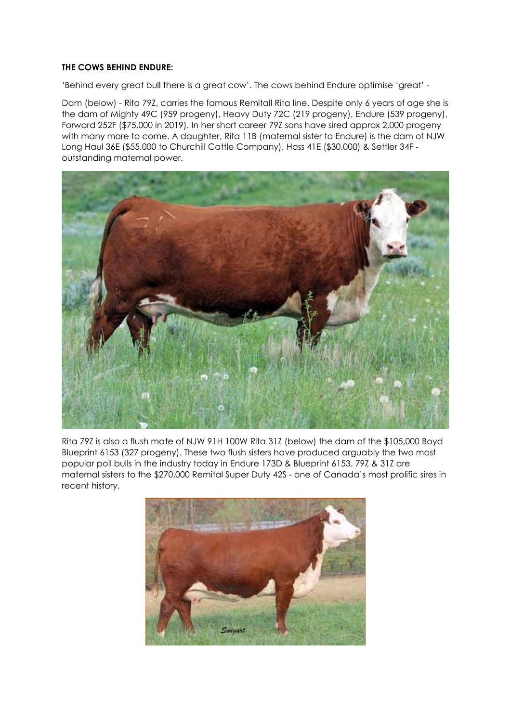## THE COWS BEHIND ENDURE:

'Behind every great bull there is a great cow'. The cows behind Endure optimise 'great' -

Dam (below) - Rita 79Z, carries the famous Remitall Rita line. Despite only 6 years of age she is the dam of Mighty 49C (959 progeny), Heavy Duty 72C (219 progeny), Endure (539 progeny), Forward 252F (\$75,000 in 2019). In her short career 79Z sons have sired approx 2,000 progeny with many more to come. A daughter, Rita 11B (maternal sister to Endure) is the dam of NJW Long Haul 36E (\$55,000 to Churchill Cattle Company), Hoss 41E (\$30,000) & Settler 34F outstanding maternal power.



Rita 79Z is also a flush mate of NJW 91H 100W Rita 31Z (below) the dam of the \$105,000 Boyd Blueprint 6153 (327 progeny). These two flush sisters have produced arguably the two most popular poll bulls in the industry today in Endure 173D & Blueprint 6153. 79Z & 31Z are maternal sisters to the \$270,000 Remital Super Duty 42S - one of Canada's most prolific sires in recent history.